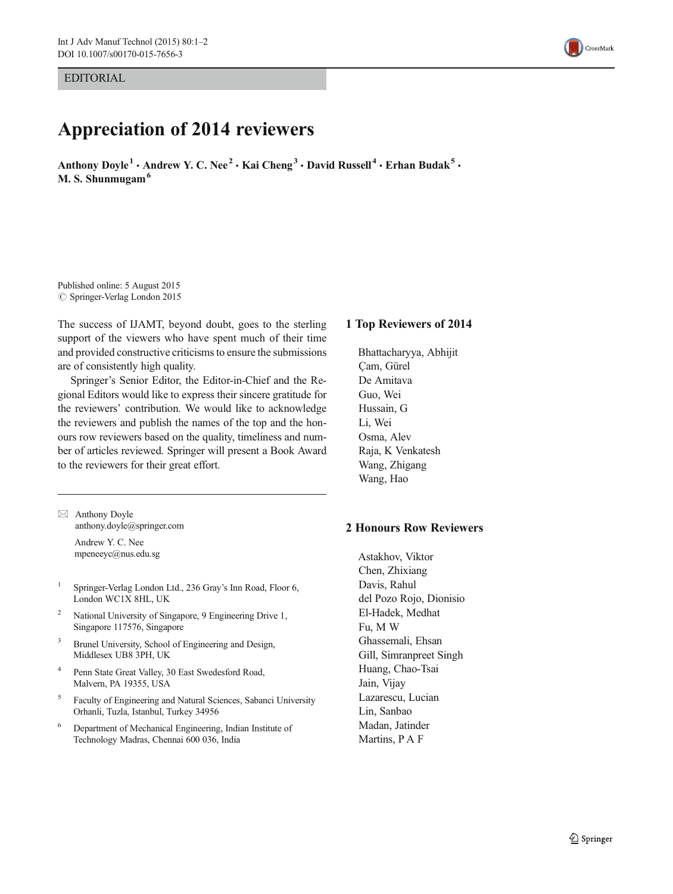EDITORIAL

## Appreciation of 2014 reviewers

Anthony Doyle<sup>1</sup> • Andrew Y. C. Nee<sup>2</sup> • Kai Cheng<sup>3</sup> • David Russell<sup>4</sup> • Erhan Budak<sup>5</sup> • M. S. Shunmugam<sup>6</sup>

Published online: 5 August 2015  $\oslash$  Springer-Verlag London 2015

The success of IJAMT, beyond doubt, goes to the sterling support of the viewers who have spent much of their time and provided constructive criticisms to ensure the submissions are of consistently high quality.

Springer's Senior Editor, the Editor-in-Chief and the Regional Editors would like to express their sincere gratitude for the reviewers' contribution. We would like to acknowledge the reviewers and publish the names of the top and the honours row reviewers based on the quality, timeliness and number of articles reviewed. Springer will present a Book Award to the reviewers for their great effort.

 $\boxtimes$  Anthony Doyle anthony.doyle@springer.com Andrew Y. C. Nee

mpeneeyc@nus.edu.sg

- <sup>1</sup> Springer-Verlag London Ltd., 236 Gray's Inn Road, Floor 6, London WC1X 8HL, UK
- National University of Singapore, 9 Engineering Drive 1, Singapore 117576, Singapore
- <sup>3</sup> Brunel University, School of Engineering and Design, Middlesex UB8 3PH, UK
- <sup>4</sup> Penn State Great Valley, 30 East Swedesford Road, Malvern, PA 19355, USA
- <sup>5</sup> Faculty of Engineering and Natural Sciences, Sabanci University Orhanli, Tuzla, Istanbul, Turkey 34956
- <sup>6</sup> Department of Mechanical Engineering, Indian Institute of Technology Madras, Chennai 600 036, India

## 1 Top Reviewers of 2014

Bhattacharyya, Abhijit Çam, Gürel De Amitava Guo, Wei Hussain, G Li, Wei Osma, Alev Raja, K Venkatesh Wang, Zhigang Wang, Hao

## 2 Honours Row Reviewers

Astakhov, Viktor Chen, Zhixiang Davis, Rahul del Pozo Rojo, Dionisio El-Hadek, Medhat Fu, M W Ghassemali, Ehsan Gill, Simranpreet Singh Huang, Chao-Tsai Jain, Vijay Lazarescu, Lucian Lin, Sanbao Madan, Jatinder Martins, P A F